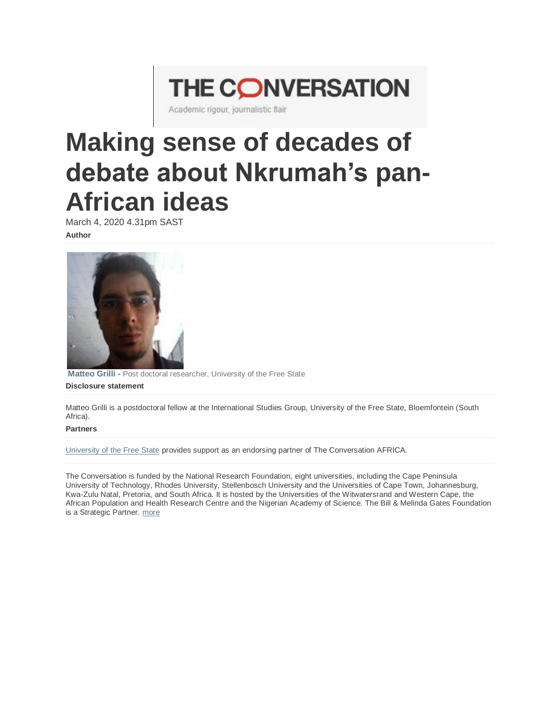# **THE CONVERSATION**

Academic rigour, journalistic flair

## **Making sense of decades of debate about Nkrumah's pan-African ideas**

March 4, 2020 4.31pm SAST **Author**



**[Matteo Grilli](https://theconversation.com/profiles/matteo-grilli-979592)** - Post doctoral researcher, University of the Free State

#### **Disclosure statement**

Matteo Grilli is a postdoctoral fellow at the International Studies Group, University of the Free State, Bloemfontein (South Africa).

#### **Partners**

[University of the Free State](http://theconversation.com/institutions/university-of-the-free-state-1944) provides support as an endorsing partner of The Conversation AFRICA.

The Conversation is funded by the National Research Foundation, eight universities, including the Cape Peninsula University of Technology, Rhodes University, Stellenbosch University and the Universities of Cape Town, Johannesburg, Kwa-Zulu Natal, Pretoria, and South Africa. It is hosted by the Universities of the Witwatersrand and Western Cape, the African Population and Health Research Centre and the Nigerian Academy of Science. The Bill & Melinda Gates Foundation is a Strategic Partner. [more](https://theconversation.com/africa/partners)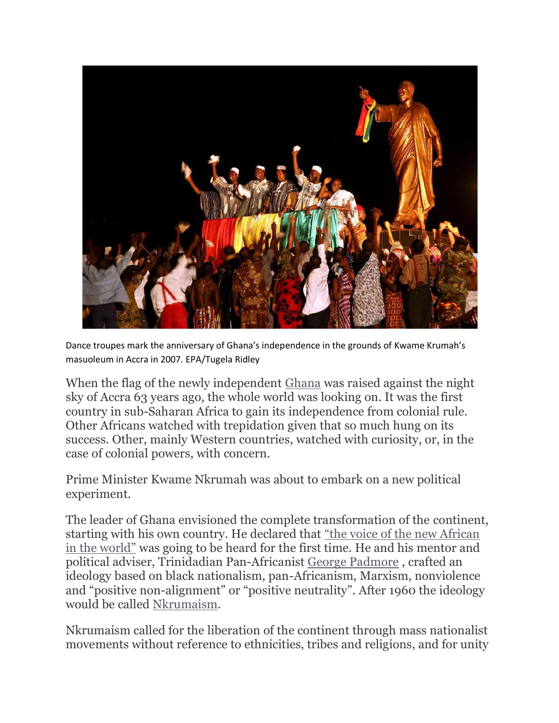

Dance troupes mark the anniversary of Ghana's independence in the grounds of Kwame Krumah's masuoleum in Accra in 2007. EPA/Tugela Ridley

When the flag of the newly independent [Ghana](https://www.youtube.com/watch?v=wOEdJDdz690) was raised against the night sky of Accra 63 years ago, the whole world was looking on. It was the first country in sub-Saharan Africa to gain its independence from colonial rule. Other Africans watched with trepidation given that so much hung on its success. Other, mainly Western countries, watched with curiosity, or, in the case of colonial powers, with concern.

Prime Minister Kwame Nkrumah was about to embark on a new political experiment.

The leader of Ghana envisioned the complete transformation of the continent, starting with his own country. He declared that ["the voice of the new African](https://www.youtube.com/watch?v=lTTdi8AjZg8)  [in the world"](https://www.youtube.com/watch?v=lTTdi8AjZg8) was going to be heard for the first time. He and his mentor and political adviser, Trinidadian Pan-Africanist [George Padmore](https://www.georgepadmoreinstitute.org/Who%20We%20Are/who-was-george-padmore) , crafted an ideology based on black nationalism, pan-Africanism, Marxism, nonviolence and "positive non-alignment" or "positive neutrality". After 1960 the ideology would be called [Nkrumaism.](https://www.ohioswallow.com/book/Living+with+Nkrumahism)

Nkrumaism called for the liberation of the continent through mass nationalist movements without reference to ethnicities, tribes and religions, and for unity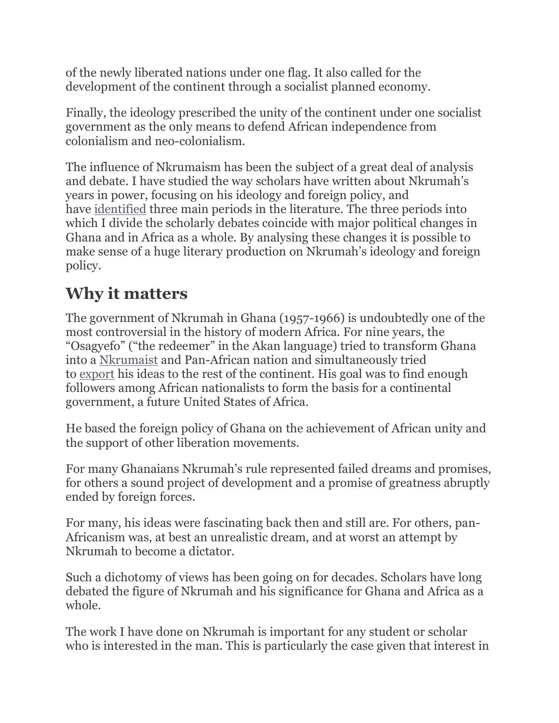of the newly liberated nations under one flag. It also called for the development of the continent through a socialist planned economy.

Finally, the ideology prescribed the unity of the continent under one socialist government as the only means to defend African independence from colonialism and neo-colonialism.

The influence of Nkrumaism has been the subject of a great deal of analysis and debate. I have studied the way scholars have written about Nkrumah's years in power, focusing on his ideology and foreign policy, and have [identified](http://journals.ufs.ac.za/index.php/jch/article/view/4176) three main periods in the literature. The three periods into which I divide the scholarly debates coincide with major political changes in Ghana and in Africa as a whole. By analysing these changes it is possible to make sense of a huge literary production on Nkrumah's ideology and foreign policy.

### **Why it matters**

The government of Nkrumah in Ghana (1957-1966) is undoubtedly one of the most controversial in the history of modern Africa. For nine years, the "Osagyefo" ("the redeemer" in the Akan language) tried to transform Ghana into a [Nkrumaist](https://www.ohioswallow.com/book/Living+with+Nkrumahism) and Pan-African nation and simultaneously tried to [export](https://www.palgrave.com/gp/book/9783319913247) his ideas to the rest of the continent. His goal was to find enough followers among African nationalists to form the basis for a continental government, a future United States of Africa.

He based the foreign policy of Ghana on the achievement of African unity and the support of other liberation movements.

For many Ghanaians Nkrumah's rule represented failed dreams and promises, for others a sound project of development and a promise of greatness abruptly ended by foreign forces.

For many, his ideas were fascinating back then and still are. For others, pan-Africanism was, at best an unrealistic dream, and at worst an attempt by Nkrumah to become a dictator.

Such a dichotomy of views has been going on for decades. Scholars have long debated the figure of Nkrumah and his significance for Ghana and Africa as a whole.

The work I have done on Nkrumah is important for any student or scholar who is interested in the man. This is particularly the case given that interest in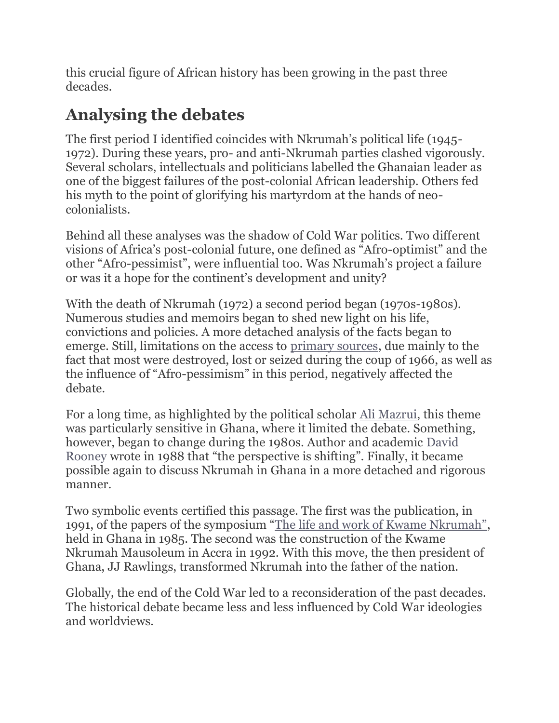this crucial figure of African history has been growing in the past three decades.

### **Analysing the debates**

The first period I identified coincides with Nkrumah's political life (1945- 1972). During these years, pro- and anti-Nkrumah parties clashed vigorously. Several scholars, intellectuals and politicians labelled the Ghanaian leader as one of the biggest failures of the post-colonial African leadership. Others fed his myth to the point of glorifying his martyrdom at the hands of neocolonialists.

Behind all these analyses was the shadow of Cold War politics. Two different visions of Africa's post-colonial future, one defined as "Afro-optimist" and the other "Afro-pessimist", were influential too. Was Nkrumah's project a failure or was it a hope for the continent's development and unity?

With the death of Nkrumah (1972) a second period began (1970s-1980s). Numerous studies and memoirs began to shed new light on his life, convictions and policies. A more detached analysis of the facts began to emerge. Still, limitations on the access to [primary sources,](https://www.cambridge.org/core/journals/history-in-africa/article/nkrumah-nationalism-and-panafricanism-the-bureau-of-african-affairs-collection/1C99B59DC81D8BCF5E7AB9B7C84F1ED1) due mainly to the fact that most were destroyed, lost or seized during the coup of 1966, as well as the influence of "Afro-pessimism" in this period, negatively affected the debate.

For a long time, as highlighted by the political scholar [Ali Mazrui,](https://books.google.it/books/about/Nkrumah_s_Legacy_and_Africa_s_Triple_Her.html?id=eUV1AAAAMAAJ&redir_esc=y) this theme was particularly sensitive in Ghana, where it limited the debate. Something, however, began to change during the 1980s. Author and academic [David](https://www.jstor.org/stable/j.ctvk3gm60)  [Rooney](https://www.jstor.org/stable/j.ctvk3gm60) wrote in 1988 that "the perspective is shifting". Finally, it became possible again to discuss Nkrumah in Ghana in a more detached and rigorous manner.

Two symbolic events certified this passage. The first was the publication, in 1991, of the papers of the symposium ["The life and work of Kwame Nkrumah"](https://www.goodreads.com/book/show/1691859.The_Life_and_Work_of_Kwame_Nkrumah), held in Ghana in 1985. The second was the construction of the Kwame Nkrumah Mausoleum in Accra in 1992. With this move, the then president of Ghana, JJ Rawlings, transformed Nkrumah into the father of the nation.

Globally, the end of the Cold War led to a reconsideration of the past decades. The historical debate became less and less influenced by Cold War ideologies and worldviews.